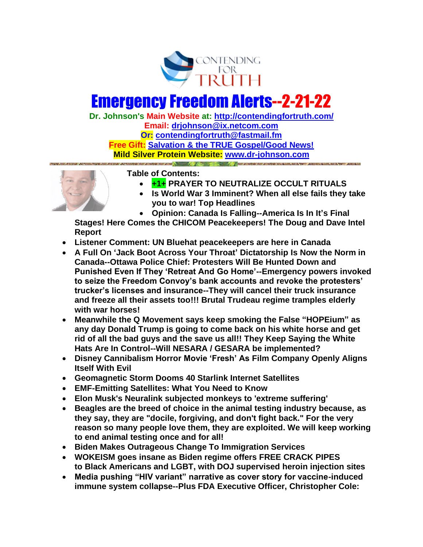

# Emergency Freedom Alerts--2-21-22

**Dr. Johnson's Main Website at:<http://contendingfortruth.com/> Email: [drjohnson@ix.netcom.com](mailto:drjohnson@ix.netcom.com) Or: [contendingfortruth@fastmail.fm](mailto:contendingfortruth@fastmail.fm) Free Gift: [Salvation & the TRUE Gospel/Good News!](http://www.contendingfortruth.com/true-salvation/) Mild Silver Protein Website: [www.dr-johnson.com](http://www.dr-johnson.com/)**



**Table of Contents:** 

- **+1+ PRAYER TO NEUTRALIZE OCCULT RITUALS**
- **Is World War 3 Imminent? When all else fails they take you to war! Top Headlines**
- **Opinion: Canada Is Falling--America Is In It's Final**

**Stages! Here Comes the CHICOM Peacekeepers! The Doug and Dave Intel Report** 

- **Listener Comment: UN Bluehat peacekeepers are here in Canada**
- **A Full On 'Jack Boot Across Your Throat' Dictatorship Is Now the Norm in Canada--Ottawa Police Chief: Protesters Will Be Hunted Down and Punished Even If They 'Retreat And Go Home'--Emergency powers invoked to seize the Freedom Convoy's bank accounts and revoke the protesters' trucker's licenses and insurance--They will cancel their truck insurance and freeze all their assets too!!! Brutal Trudeau regime tramples elderly with war horses!**
- **Meanwhile the Q Movement says keep smoking the False "HOPEium" as any day Donald Trump is going to come back on his white horse and get rid of all the bad guys and the save us all!! They Keep Saying the White Hats Are In Control--Will NESARA / GESARA be implemented?**
- **Disney Cannibalism Horror Movie 'Fresh' As Film Company Openly Aligns Itself With Evil**
- **Geomagnetic Storm Dooms 40 Starlink Internet Satellites**
- **EMF-Emitting Satellites: What You Need to Know**
- **Elon Musk's Neuralink subjected monkeys to 'extreme suffering'**
- **Beagles are the breed of choice in the animal testing industry because, as they say, they are "docile, forgiving, and don't fight back." For the very reason so many people love them, they are exploited. We will keep working to end animal testing once and for all!**
- **Biden Makes Outrageous Change To Immigration Services**
- **WOKEISM goes insane as Biden regime offers FREE CRACK PIPES to Black Americans and LGBT, with DOJ supervised heroin injection sites**
- **Media pushing "HIV variant" narrative as cover story for vaccine-induced immune system collapse--Plus FDA Executive Officer, Christopher Cole:**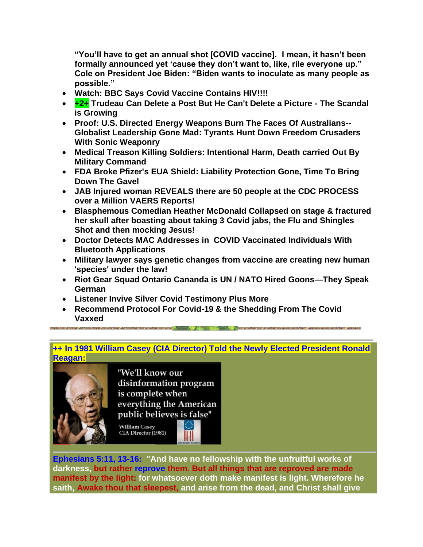**"You'll have to get an annual shot [COVID vaccine]. I mean, it hasn't been formally announced yet 'cause they don't want to, like, rile everyone up." Cole on President Joe Biden: "Biden wants to inoculate as many people as possible."**

- **Watch: BBC Says Covid Vaccine Contains HIV!!!!**
- **+2+ Trudeau Can Delete a Post But He Can't Delete a Picture - The Scandal is Growing**
- **Proof: U.S. Directed Energy Weapons Burn The Faces Of Australians-- Globalist Leadership Gone Mad: Tyrants Hunt Down Freedom Crusaders With Sonic Weaponry**
- **Medical Treason Killing Soldiers: Intentional Harm, Death carried Out By Military Command**
- **FDA Broke Pfizer's EUA Shield: Liability Protection Gone, Time To Bring Down The Gavel**
- **JAB Injured woman REVEALS there are 50 people at the CDC PROCESS over a Million VAERS Reports!**
- **Blasphemous Comedian Heather McDonald Collapsed on stage & fractured her skull after boasting about taking 3 Covid jabs, the Flu and Shingles Shot and then mocking Jesus!**
- **Doctor Detects MAC Addresses in COVID Vaccinated Individuals With Bluetooth Applications**
- **Military lawyer says genetic changes from vaccine are creating new human 'species' under the law!**
- **Riot Gear Squad Ontario Cananda is UN / NATO Hired Goons—They Speak German**
- **Listener Invive Silver Covid Testimony Plus More**
- **Recommend Protocol For Covid-19 & the Shedding From The Covid Vaxxed**

**And the company of the company of the** 

**++ In 1981 William Casey (CIA Director) Told the Newly Elected President Ronald Reagan:**



"We'll know our disinformation program is complete when everything the American public believes is false"

William Casey<br>CIA Director (1981)

**Ephesians 5:11, 13-16: "And have no fellowship with the unfruitful works of darkness, but rather reprove them. But all things that are reproved are made manifest by the light: for whatsoever doth make manifest is light. Wherefore he saith, Awake thou that sleepest, and arise from the dead, and Christ shall give**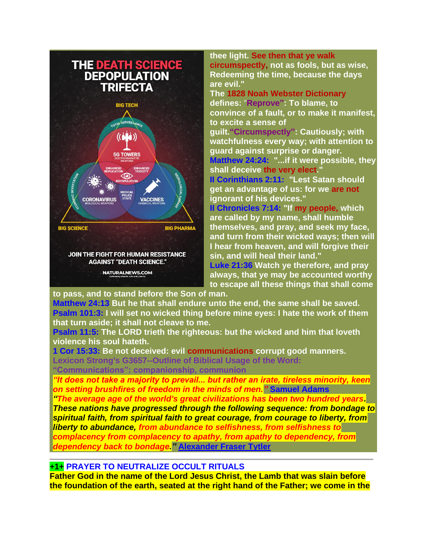# **THE DEATH SCIENCE DEPOPULATION TRIFECTA BIG TECH JRVEILLAM**  $((\blacksquare \blacksquare \blacksquare))$ **G TOWERS** രു **CORONAVIRUS VACCINES BIG SCIENCE BIG PHARMA** JOIN THE FIGHT FOR HUMAN RESISTANCE **AGAINST "DEATH SCIENCE." NATURALNEWS.COM**

**thee light. See then that ye walk circumspectly, not as fools, but as wise, Redeeming the time, because the days are evil." The 1828 Noah Webster Dictionary defines:** "**Reprove": To blame, to convince of a fault, or to make it manifest, to excite a sense of guilt."Circumspectly": Cautiously; with watchfulness every way; with attention to guard against surprise or danger. Matthew 24:24: "...if it were possible, they shall deceive the very elect." II Corinthians 2:11: "Lest Satan should get an advantage of us: for we are not ignorant of his devices." II Chronicles 7:14: "If my people, which are called by my name, shall humble themselves, and pray, and seek my face, and turn from their wicked ways; then will** 

**I hear from heaven, and will forgive their sin, and will heal their land." Luke 21:36 Watch ye therefore, and pray always, that ye may be accounted worthy** 

**to escape all these things that shall come** 

**to pass, and to stand before the Son of man.**

**Matthew 24:13 But he that shall endure unto the end, the same shall be saved. Psalm 101:3: I will set no wicked thing before mine eyes: I hate the work of them that turn aside; it shall not cleave to me.**

**Psalm 11:5: The LORD trieth the righteous: but the wicked and him that loveth violence his soul hateth.**

**1 Cor 15:33: Be not deceived: evil communications corrupt good manners. Lexicon Strong's G3657--Outline of Biblical Usage of the Word: "Communications": companionship, communion**

*"It does not take a majority to prevail... but rather an irate, tireless minority, keen on setting brushfires of freedom in the minds of men."* **Samuel Adams** 

*"The average age of the world's great civilizations has been two hundred years. These nations have progressed through the following sequence: from bondage to spiritual faith, from spiritual faith to great courage, from courage to liberty, from liberty to abundance, from abundance to selfishness, from selfishness to complacency from complacency to apathy, from apathy to dependency, from dependency back to bondage."* **[Alexander Fraser Tytler](https://www.azquotes.com/author/20531-Alexander_Fraser_Tytler)**

**+1+ PRAYER TO NEUTRALIZE OCCULT RITUALS** 

**Father God in the name of the Lord Jesus Christ, the Lamb that was slain before the foundation of the earth, seated at the right hand of the Father; we come in the**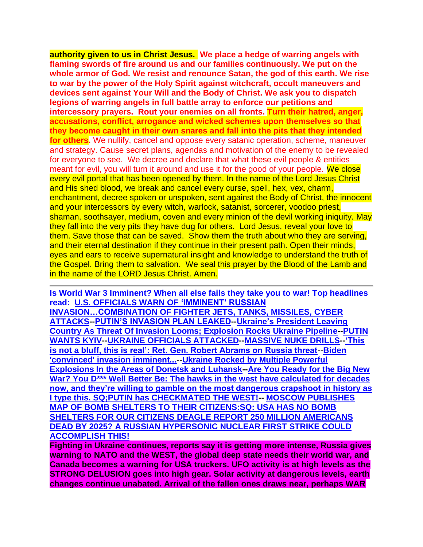**authority given to us in Christ Jesus. We place a hedge of warring angels with flaming swords of fire around us and our families continuously. We put on the whole armor of God. We resist and renounce Satan, the god of this earth. We rise to war by the power of the Holy Spirit against witchcraft, occult maneuvers and devices sent against Your Will and the Body of Christ. We ask you to dispatch legions of warring angels in full battle array to enforce our petitions and intercessory prayers. Rout your enemies on all fronts. Turn their hatred, anger, accusations, conflict, arrogance and wicked schemes upon themselves so that they become caught in their own snares and fall into the pits that they intended for others.** We nullify, cancel and oppose every satanic operation, scheme, maneuver and strategy. Cause secret plans, agendas and motivation of the enemy to be revealed for everyone to see. We decree and declare that what these evil people & entities meant for evil, you will turn it around and use it for the good of your people. We close every evil portal that has been opened by them. In the name of the Lord Jesus Christ and His shed blood, we break and cancel every curse, spell, hex, vex, charm, enchantment, decree spoken or unspoken, sent against the Body of Christ, the innocent and your intercessors by every witch, warlock, satanist, sorcerer, voodoo priest, shaman, soothsayer, medium, coven and every minion of the devil working iniquity. May they fall into the very pits they have dug for others. Lord Jesus, reveal your love to them. Save those that can be saved. Show them the truth about who they are serving, and their eternal destination if they continue in their present path. Open their minds, eyes and ears to receive supernatural insight and knowledge to understand the truth of the Gospel. Bring them to salvation. We seal this prayer by the Blood of the Lamb and in the name of the LORD Jesus Christ. Amen.

**Is World War 3 Imminent? When all else fails they take you to war! Top headlines read: [U.S. OFFICIALS WARN OF](https://www.wsj.com/articles/ukraine-troops-told-to-exercise-restraint-to-avoid-provoking-russian-invasion-11645185631) 'IMMINENT' RUSSIAN [INVASION…](https://www.wsj.com/articles/ukraine-troops-told-to-exercise-restraint-to-avoid-provoking-russian-invasion-11645185631)COMBINATION OF FIGHTER JETS, [TANKS, MISSILES, CYBER](https://www.wsj.com/articles/ukraine-troops-told-to-exercise-restraint-to-avoid-provoking-russian-invasion-11645185631)  [ATTACKS-](https://www.wsj.com/articles/ukraine-troops-told-to-exercise-restraint-to-avoid-provoking-russian-invasion-11645185631)[-PUTIN'S INVASION PLAN LEAKED-](https://populistpress.com/putins-invasion-plan-leaked/)[-Ukraine's President Leaving](https://populistpress.com/ukraines-president-leaving-country-as-threat-of-invasion-looms-explosion-rocks-ukraine-pipeline/)  [Country As Threat Of Invasion Looms; Explosion Rocks Ukraine Pipeline-](https://populistpress.com/ukraines-president-leaving-country-as-threat-of-invasion-looms-explosion-rocks-ukraine-pipeline/)[-PUTIN](https://www.dailymail.co.uk/news/article-10530371/Kamala-Harris-warns-Putin-face-swift-severe-consequences-invades-Ukraine.html)  [WANTS KYIV-](https://www.dailymail.co.uk/news/article-10530371/Kamala-Harris-warns-Putin-face-swift-severe-consequences-invades-Ukraine.html)[-UKRAINE OFFICIALS ATTACKED-](https://metro.co.uk/2022/02/19/ukrainian-military-officials-shelled-during-tour-of-separatist-conflict-zone-16135062/)[-MASSIVE NUKE DRILLS-](https://www.reuters.com/world/europe/putin-oversee-nuclear-drills-ukraine-crisis-mounts-2022-02-19/)[-'This](https://www.youtube.com/watch?v=uDgSYtFmvC8)  [is not a bluff, this is real': Ret. Gen. Robert Abrams on Russia threat](https://www.youtube.com/watch?v=uDgSYtFmvC8)**--**[Biden](https://apnews.com/article/russia-ukraine-joe-biden-europe-russia-moscow-c2e55b8b2b061b58e2b140d2a6dc1d57)  ['convinced' invasion imminent...](https://apnews.com/article/russia-ukraine-joe-biden-europe-russia-moscow-c2e55b8b2b061b58e2b140d2a6dc1d57)**--**[Ukraine Rocked by Multiple Powerful](https://www.youtube.com/watch?v=HqgkhP4hjQw)  [Explosions In the Areas of Donetsk and Luhansk-](https://www.youtube.com/watch?v=HqgkhP4hjQw)[-Are You Ready for the Big New](https://www.zerohedge.com/news/2022-02-20/are-you-ready-big-new-war-you-damn-well-better-be)  War? You D\*\*\* [Well Better Be: The hawks in the west have calculated for decades](https://www.zerohedge.com/news/2022-02-20/are-you-ready-big-new-war-you-damn-well-better-be)  [now, and they're willing to gamble on the most dangerous crapshoot in history as](https://www.zerohedge.com/news/2022-02-20/are-you-ready-big-new-war-you-damn-well-better-be)  I type this. SQ;PUTIN has [CHECKMATED THE WEST!-](https://www.zerohedge.com/news/2022-02-20/are-you-ready-big-new-war-you-damn-well-better-be)- [MOSCOW PUBLISHES](https://halturnerradioshow.com/index.php/en/news-page/world/bulletin-moscow-publishes-map-of-bomb-shelters-to-their-citizens)  [MAP OF BOMB SHELTERS TO THEIR CITIZENS:SQ: USA HAS NO BOMB](https://halturnerradioshow.com/index.php/en/news-page/world/bulletin-moscow-publishes-map-of-bomb-shelters-to-their-citizens)  [SHELTERS FOR OUR CITIZENS DEAGLE REPORT 250 MILLION AMERICANS](https://halturnerradioshow.com/index.php/en/news-page/world/bulletin-moscow-publishes-map-of-bomb-shelters-to-their-citizens)  [DEAD BY 2025? A RUSSIAN HYPERSONIC NUCLEAR FIRST STRIKE COULD](https://halturnerradioshow.com/index.php/en/news-page/world/bulletin-moscow-publishes-map-of-bomb-shelters-to-their-citizens) [ACCOMPLISH THIS!](https://halturnerradioshow.com/index.php/en/news-page/world/bulletin-moscow-publishes-map-of-bomb-shelters-to-their-citizens)**

**Fighting in Ukraine continues, reports say it is getting more intense, Russia gives warning to NATO and the WEST, the global deep state needs their world war, and Canada becomes a warning for USA truckers. UFO activity is at high levels as the STRONG DELUSION goes into high gear. Solar activity at dangerous levels, earth changes continue unabated. Arrival of the fallen ones draws near, perhaps WAR**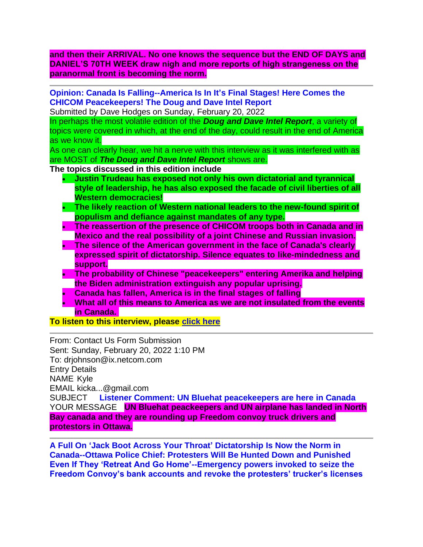**and then their ARRIVAL. No one knows the sequence but the END OF DAYS and DANIEL'S 70TH WEEK draw nigh and more reports of high strangeness on the paranormal front is becoming the norm.**

**Opinion: Canada Is Falling--America Is In It's Final Stages! Here Comes the CHICOM Peacekeepers! The Doug and Dave Intel Report** 

Submitted by Dave Hodges on Sunday, February 20, 2022

In perhaps the most volatile edition of the *Doug and Dave Intel Report*, a variety of topics were covered in which, at the end of the day, could result in the end of America as we know it.

As one can clearly hear, we hit a nerve with this interview as it was interfered with as are MOST of *The Doug and Dave Intel Report* shows are.

**The topics discussed in this edition include**

- **Justin Trudeau has exposed not only his own dictatorial and tyrannical style of leadership, he has also exposed the facade of civil liberties of all Western democracies!**
- **The likely reaction of Western national leaders to the new-found spirit of populism and defiance against mandates of any type.**
- **The reassertion of the presence of CHICOM troops both in Canada and in Mexico and the real possibility of a joint Chinese and Russian invasion.**
- **The silence of the American government in the face of Canada's clearly expressed spirit of dictatorship. Silence equates to like-mindedness and support.**
- **The probability of Chinese "peacekeepers" entering Amerika and helping the Biden administration extinguish any popular uprising.**
- **Canada has fallen, America is in the final stages of falling**
- **What all of this means to America as we are not insulated from the events in Canada.**

**To listen to this interview, please [click here](http://mediaarchives.gsradio.net/commonsenseshow/hr1021822.mp3)**

From: Contact Us Form Submission Sent: Sunday, February 20, 2022 1:10 PM To: drjohnson@ix.netcom.com Entry Details NAME Kyle EMAIL kicka...@gmail.com SUBJECT **Listener Comment: UN Bluehat peacekeepers are here in Canada** YOUR MESSAGE **UN Bluehat peackeepers and UN airplane has landed in North Bay canada and they are rounding up Freedom convoy truck drivers and** 

**protestors in Ottawa.**

**A Full On 'Jack Boot Across Your Throat' Dictatorship Is Now the Norm in Canada--Ottawa Police Chief: Protesters Will Be Hunted Down and Punished Even If They 'Retreat And Go Home'--Emergency powers invoked to seize the Freedom Convoy's bank accounts and revoke the protesters' trucker's licenses**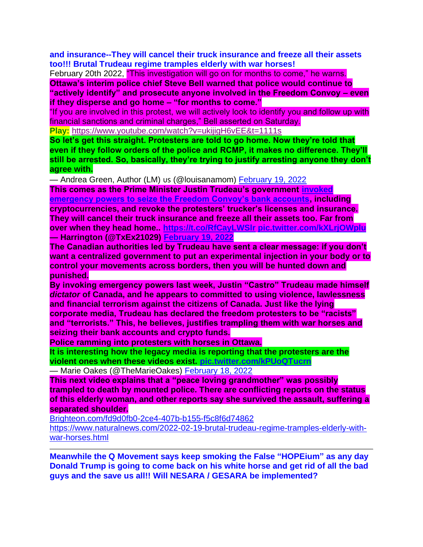**and insurance--They will cancel their truck insurance and freeze all their assets too!!! Brutal Trudeau regime tramples elderly with war horses!**

February 20th 2022, "This investigation will go on for months to come," he warns. **Ottawa's interim police chief Steve Bell warned that police would continue to "actively identify" and prosecute anyone involved in the Freedom Convoy – even if they disperse and go home – "for months to come."**

"If you are involved in this protest, we will actively look to identify you and follow up with financial sanctions and criminal charges," Bell asserted on Saturday.

**Play:** <https://www.youtube.com/watch?v=ukijigH6vEE&t=1111s>

**So let's get this straight. Protesters are told to go home. Now they're told that even if they follow orders of the police and RCMP, it makes no difference. They'll still be arrested. So, basically, they're trying to justify arresting anyone they don't agree with.**

— Andrea Green, Author (LM) us (@louisanamom) [February 19, 2022](https://twitter.com/louisanamom/status/1495167007276240896?ref_src=twsrc%5Etfw)

**This comes as the Prime Minister Justin Trudeau's government [invoked](https://www.infowars.com/posts/martial-law-trudeau-govt-invokes-terrorism-laws-to-seize-bank-accounts-crypto-of-freedom-convoy-supporters/)  [emergency powers to seize the Freedom Convoy's bank accounts,](https://www.infowars.com/posts/martial-law-trudeau-govt-invokes-terrorism-laws-to-seize-bank-accounts-crypto-of-freedom-convoy-supporters/) including cryptocurrencies, and revoke the protesters' trucker's licenses and insurance. They will cancel their truck insurance and freeze all their assets too. Far from over when they head home..<https://t.co/RfCayLWSlr> [pic.twitter.com/kXLrjOWplu](https://t.co/kXLrjOWplu) — Harrington (@TxEx21029) [February 19, 2022](https://twitter.com/TxEx21029/status/1495170615157960711?ref_src=twsrc%5Etfw)**

**The Canadian authorities led by Trudeau have sent a clear message: if you don't want a centralized government to put an experimental injection in your body or to control your movements across borders, then you will be hunted down and punished.**

**By invoking emergency powers last week, Justin "Castro" Trudeau made himself**  *dictator* **of Canada, and he appears to committed to using violence, lawlessness and financial terrorism against the citizens of Canada. Just like the lying corporate media, Trudeau has declared the freedom protesters to be "racists" and "terrorists." This, he believes, justifies trampling them with war horses and seizing their bank accounts and crypto funds.**

**Police ramming into protesters with horses in Ottawa.**

**It is interesting how the legacy media is reporting that the protesters are the violent ones when these videos exist. [pic.twitter.com/kPUoQTucrn](https://t.co/kPUoQTucrn)**

— Marie Oakes (@TheMarieOakes) [February 18, 2022](https://twitter.com/TheMarieOakes/status/1494808163836739590?ref_src=twsrc%5Etfw)

**This next video explains that a "peace loving grandmother" was possibly trampled to death by mounted police. There are conflicting reports on the status of this elderly woman, and other reports say she survived the assault, suffering a separated shoulder.**

[Brighteon.com/fd9d0fb0-2ce4-407b-b155-f5c8f6d74862](http://brighteon.com/fd9d0fb0-2ce4-407b-b155-f5c8f6d74862)

[https://www.naturalnews.com/2022-02-19-brutal-trudeau-regime-tramples-elderly-with](https://www.naturalnews.com/2022-02-19-brutal-trudeau-regime-tramples-elderly-with-war-horses.html)[war-horses.html](https://www.naturalnews.com/2022-02-19-brutal-trudeau-regime-tramples-elderly-with-war-horses.html)

**Meanwhile the Q Movement says keep smoking the False "HOPEium" as any day Donald Trump is going to come back on his white horse and get rid of all the bad guys and the save us all!! Will NESARA / GESARA be implemented?**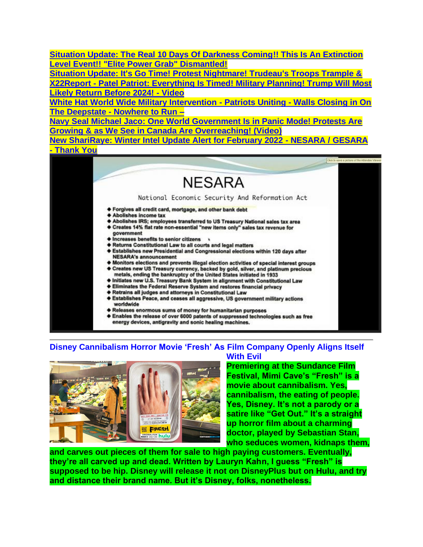**[Situation Update: The Real 10 Days Of Darkness Coming!! This Is An Extinction](https://beforeitsnews.com/new-world-order/2022/02/situation-update-the-real-10-days-of-darkness-coming-this-is-an-extinction-level-event-elite-power-grab-dismantled-11021.html)  [Level Event!! "Elite Power Grab" Dismantled!](https://beforeitsnews.com/new-world-order/2022/02/situation-update-the-real-10-days-of-darkness-coming-this-is-an-extinction-level-event-elite-power-grab-dismantled-11021.html)**

**[Situation Update: It's Go Time! Protest Nightmare! Trudeau's Troops Trample &](https://beforeitsnews.com/opinion-conservative/2022/02/situation-update-its-go-time-protest-nightmare-trudeaus-troops-trample-kill-a-grandmother-full-dictator-sonic-emf-weapons-used-on-protestors-in-australia-globalists-colluded-to-e-3619565.html)  X22Report - [Patel Patriot: Everything Is Timed! Military Planning! Trump Will Most](https://beforeitsnews.com/opinion-conservative/2022/02/x22report-patel-patriot-everything-is-timed-military-planning-trump-will-most-likely-return-before-2024-must-video-3619514.html)  [Likely Return Before 2024! -](https://beforeitsnews.com/opinion-conservative/2022/02/x22report-patel-patriot-everything-is-timed-military-planning-trump-will-most-likely-return-before-2024-must-video-3619514.html) Video**

**[White Hat World Wide Military Intervention -](https://beforeitsnews.com/beyond-science/2022/02/restored-republic-via-a-gcr-update-as-of-sat-19-feb-2022-2454329.html) Patriots Uniting - Walls Closing in On The Deepstate - [Nowhere to Run –](https://beforeitsnews.com/beyond-science/2022/02/restored-republic-via-a-gcr-update-as-of-sat-19-feb-2022-2454329.html)**

**[Navy Seal Michael Jaco: One World Government Is in Panic Mode! Protests Are](https://beforeitsnews.com/opinion-conservative/2022/02/navy-seal-michael-jaco-one-world-govt-is-in-panic-mode-protests-are-growing-as-we-see-in-canada-are-overreaching-must-video-3619489.html)  [Growing & as We See in Canada Are Overreaching! \(Video\)](https://beforeitsnews.com/opinion-conservative/2022/02/navy-seal-michael-jaco-one-world-govt-is-in-panic-mode-protests-are-growing-as-we-see-in-canada-are-overreaching-must-video-3619489.html)**

**[New ShariRaye: Winter Intel Update Alert for February 2022 -](https://beforeitsnews.com/prophecy/2022/02/new-shariraye-winter-intel-update-alert-for-february-2022-nesara-gesara-2528147.html) NESARA / GESARA - [Thank You](https://beforeitsnews.com/prophecy/2022/02/new-shariraye-winter-intel-update-alert-for-february-2022-nesara-gesara-2528147.html)** 



#### **Disney Cannibalism Horror Movie 'Fresh' As Film Company Openly Aligns Itself With Evil**



**Premiering at the Sundance Film Festival, Mimi Cave's "Fresh" is a movie about cannibalism. Yes, cannibalism, the eating of people. Yes, Disney. It's not a parody or a satire like "Get Out." It's a straight up horror film about a charming doctor, played by Sebastian Stan, who seduces women, kidnaps them,** 

**and carves out pieces of them for sale to high paying customers. Eventually, they're all carved up and dead. Written by Lauryn Kahn, I guess "Fresh" is supposed to be hip. Disney will release it not on DisneyPlus but on Hulu, and try and distance their brand name. But it's Disney, folks, nonetheless.**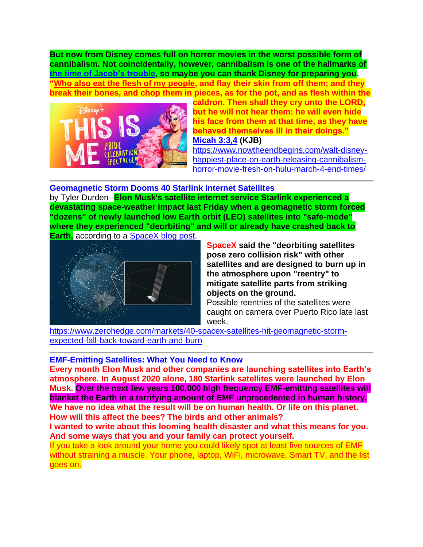**But now from Disney comes full on horror movies in the worst possible form of cannibalism. Not coincidentally, however, cannibalism is one of the hallmarks of [the time of Jacob's trouble,](https://www.nowtheendbegins.com/category/time-of-jacobs-trouble/) so maybe you can thank Disney for preparing you. "Who also eat the flesh of my people, and flay their skin from off them; and they break their bones, and chop them in pieces, as for the pot, and as flesh within the** 



**caldron. Then shall they cry unto the LORD, but he will not hear them: he will even hide his face from them at that time, as they have behaved themselves ill in their doings." [Micah 3:3,4](popverse://bible+av/Mic_3:3,4) (KJB)**

[https://www.nowtheendbegins.com/walt-disney](https://www.nowtheendbegins.com/walt-disney-happiest-place-on-earth-releasing-cannibalism-horror-movie-fresh-on-hulu-march-4-end-times/)[happiest-place-on-earth-releasing-cannibalism](https://www.nowtheendbegins.com/walt-disney-happiest-place-on-earth-releasing-cannibalism-horror-movie-fresh-on-hulu-march-4-end-times/)[horror-movie-fresh-on-hulu-march-4-end-times/](https://www.nowtheendbegins.com/walt-disney-happiest-place-on-earth-releasing-cannibalism-horror-movie-fresh-on-hulu-march-4-end-times/)

### **Geomagnetic Storm Dooms 40 Starlink Internet Satellites**  by Tyler Durden--**Elon Musk's satellite internet service Starlink experienced a devastating space-weather impact last Friday when a geomagnetic storm forced "dozens" of newly launched low Earth orbit (LEO) satellites into "safe-mode" where they experienced "deorbiting" and will or already have crashed back to Earth,** according to a [SpaceX blog post.](https://www.spacex.com/updates/)



**SpaceX said the "deorbiting satellites pose zero collision risk" with other satellites and are designed to burn up in the atmosphere upon "reentry" to mitigate satellite parts from striking objects on the ground.**

Possible reentries of the satellites were caught on camera over Puerto Rico late last week.

[https://www.zerohedge.com/markets/40-spacex-satellites-hit-geomagnetic-storm](https://www.zerohedge.com/markets/40-spacex-satellites-hit-geomagnetic-storm-expected-fall-back-toward-earth-and-burn)[expected-fall-back-toward-earth-and-burn](https://www.zerohedge.com/markets/40-spacex-satellites-hit-geomagnetic-storm-expected-fall-back-toward-earth-and-burn)

## **EMF-Emitting Satellites: What You Need to Know**

**Every month Elon Musk and other companies are launching satellites into Earth's atmosphere. In August 2020 alone, 180 Starlink satellites were launched by Elon Musk. Over the next few years 100,000 high frequency EMF-emitting satellites will blanket the Earth in a terrifying amount of EMF unprecedented in human history. We have no idea what the result will be on human health. Or life on this planet. How will this affect the bees? The birds and other animals?**

**I wanted to write about this looming health disaster and what this means for you. And some ways that you and your family can protect yourself.**

If you take a look around your home you could likely spot at least five sources of EMF without straining a muscle. Your phone, laptop, WiFi, microwave, Smart TV, and the list goes on.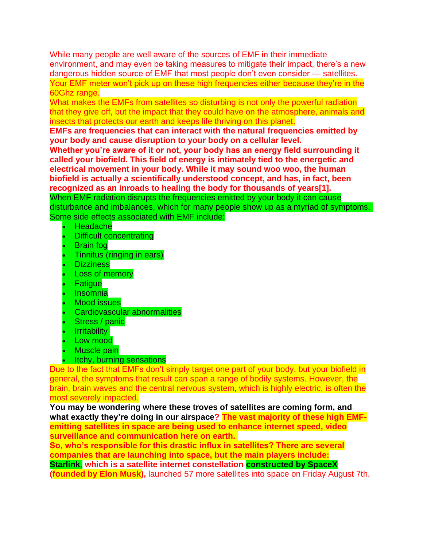While many people are well aware of the sources of EMF in their immediate environment, and may even be taking measures to mitigate their impact, there's a new dangerous hidden source of EMF that most people don't even consider — satellites. Your EMF meter won't pick up on these high frequencies either because they're in the 60Ghz range.

What makes the EMFs from satellites so disturbing is not only the powerful radiation that they give off, but the impact that they could have on the atmosphere, animals and insects that protects our earth and keeps life thriving on this planet.

**EMFs are frequencies that can interact with the natural frequencies emitted by your body and cause disruption to your body on a cellular level.**

**Whether you're aware of it or not, your body has an energy field surrounding it called your biofield. This field of energy is intimately tied to the energetic and electrical movement in your body. While it may sound woo woo, the human biofield is actually a scientifically understood concept, and has, in fact, been recognized as an inroads to healing the body for thousands of years[1].**

When EMF radiation disrupts the frequencies emitted by your body it can cause disturbance and imbalances, which for many people show up as a myriad of symptoms. Some side effects associated with EMF include:

- Headache
- **Difficult concentrating**
- Brain fog
- Tinnitus (ringing in ears)
- **Dizziness**
- Loss of memory
- Fatigue
- Insomnia
- **Mood issues**
- Cardiovascular abnormalities
- Stress / panic
- **Irritability**
- Low mood
- **Muscle pain**
- Itchy, burning sensations

Due to the fact that EMFs don't simply target one part of your body, but your biofield in general, the symptoms that result can span a range of bodily systems. However, the brain, brain waves and the central nervous system, which is highly electric, is often the most severely impacted.

**You may be wondering where these troves of satellites are coming form, and what exactly they're doing in our airspace? The vast majority of these high EMFemitting satellites in space are being used to enhance internet speed, video surveillance and communication here on earth.**

**So, who's responsible for this drastic influx in satellites? There are several companies that are launching into space, but the main players include: Starlink, which is a satellite internet constellation constructed by SpaceX (founded by Elon Musk),** launched 57 more satellites into space on Friday August 7th.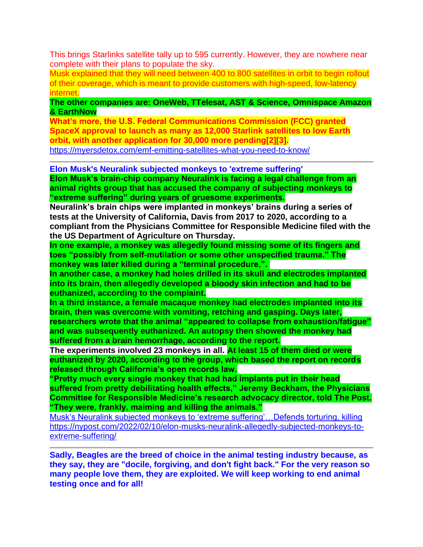This brings Starlinks satellite tally up to 595 currently. However, they are nowhere near complete with their plans to populate the sky.

Musk explained that they will need between 400 to 800 satellites in orbit to begin rollout of their coverage, which is meant to provide customers with high-speed, low-latency internet.

### **The other companies are: OneWeb, TTelesat, AST & Science, Omnispace Amazon & EarthNow**

**What's more, the U.S. Federal Communications Commission (FCC) granted SpaceX approval to launch as many as 12,000 Starlink satellites to low Earth orbit, with another application for 30,000 more pending[2][3].**  <https://myersdetox.com/emf-emitting-satellites-what-you-need-to-know/>

**Elon Musk's Neuralink subjected monkeys to 'extreme suffering' Elon Musk's brain-chip company Neuralink is facing a legal challenge from an animal rights group that has accused the company of subjecting monkeys to "extreme suffering" during years of gruesome experiments.**

**Neuralink's brain chips were implanted in monkeys' brains during a series of tests at the University of California, Davis from 2017 to 2020, according to a compliant from the Physicians Committee for Responsible Medicine filed with the the US Department of Agriculture on Thursday.**

**In one example, a monkey was allegedly found missing some of its fingers and toes "possibly from self-mutilation or some other unspecified trauma." The monkey was later killed during a "terminal procedure,".**

**In another case, a monkey had holes drilled in its skull and electrodes implanted into its brain, then allegedly developed a bloody skin infection and had to be euthanized, according to the complaint.**

**In a third instance, a female macaque monkey had electrodes implanted into its brain, then was overcome with vomiting, retching and gasping. Days later, researchers wrote that the animal "appeared to collapse from exhaustion/fatigue" and was subsequently euthanized. An autopsy then showed the monkey had suffered from a brain hemorrhage, according to the report.**

**The experiments involved 23 monkeys in all. At least 15 of them died or were euthanized by 2020, according to the group, which based the report on records released through California's open records law.**

**"Pretty much every single monkey that had had implants put in their head suffered from pretty debilitating health effects," Jeremy Beckham, the Physicians Committee for Responsible Medicine's research advocacy director, told The Post. "They were, frankly, maiming and killing the animals."**

[Musk's Neuralink subjected monkeys to 'extreme suffering'](https://nypost.com/2022/02/10/elon-musks-neuralink-allegedly-subjected-monkeys-to-extreme-suffering/)[…Defends torturing, killing](https://www.foxbusiness.com/economy/federal-reserve-january-meeting-minutes) [https://nypost.com/2022/02/10/elon-musks-neuralink-allegedly-subjected-monkeys-to](https://nypost.com/2022/02/10/elon-musks-neuralink-allegedly-subjected-monkeys-to-extreme-suffering/)[extreme-suffering/](https://nypost.com/2022/02/10/elon-musks-neuralink-allegedly-subjected-monkeys-to-extreme-suffering/)

**Sadly, Beagles are the breed of choice in the animal testing industry because, as they say, they are "docile, forgiving, and don't fight back." For the very reason so many people love them, they are exploited. We will keep working to end animal testing once and for all!**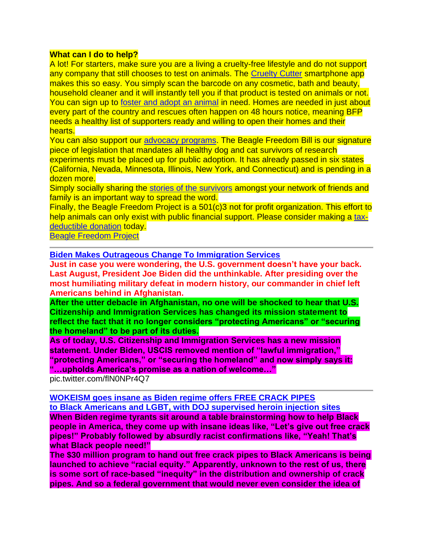#### **What can I do to help?**

A lot! For starters, make sure you are a living a cruelty-free lifestyle and do not support any company that still chooses to test on animals. The [Cruelty Cutter](https://bfp.org/cruelty-cutter) smartphone app makes this so easy. You simply scan the barcode on any cosmetic, bath and beauty, household cleaner and it will instantly tell you if that product is tested on animals or not. You can sign up to [foster and adopt an animal](https://bfp.org/rescue) in need. Homes are needed in just about every part of the country and rescues often happen on 48 hours notice, meaning BFP needs a healthy list of supporters ready and willing to open their homes and their hearts.

You can also support our [advocacy programs.](https://bfp.org/petition) The Beagle Freedom Bill is our signature piece of legislation that mandates all healthy dog and cat survivors of research experiments must be placed up for public adoption. It has already passed in six states (California, Nevada, Minnesota, Illinois, New York, and Connecticut) and is pending in a dozen more.

Simply socially sharing the [stories of the survivors](https://bfp.org/survivors) amongst your network of friends and family is an important way to spread the word.

Finally, the Beagle Freedom Project is a 501(c)3 not for profit organization. This effort to help animals can only exi[st with public financial support. Please consider making a](https://twitter.com/beaglefreedom) [tax](https://bfp.org/donate)[deductible donation](https://bfp.org/donate) today.

[Beagle Freedom Project](https://twitter.com/beaglefreedom)

**[Biden Makes Outrageous Change To Immigration Services](https://populistpress.com/bidens-immigration-services-has-outrageous-new-mission-statement/)**

**Just in case you were wondering, the U.S. government doesn't have your back. Last August, President Joe Biden did the unthinkable. After presiding over the most humiliating military defeat in modern history, our commander in chief left Americans behind in Afghanistan.**

**After the utter debacle in Afghanistan, no one will be shocked to hear that U.S. Citizenship and Immigration Services has changed its mission statement to reflect the fact that it no longer considers "protecting Americans" or "securing the homeland" to be part of its duties.**

**As of today, U.S. Citizenship and Immigration Services has a new mission statement. Under Biden, USCIS removed mention of "lawful immigration," "protecting Americans," or "securing the homeland" and now simply says it: "…upholds America's promise as a nation of welcome…"**

pic.twitter.com/flN0NPr4Q7

**[WOKEISM goes insane as Biden regime offers FREE CRACK PIPES](https://www.naturalnews.com/2022-02-09-racist-biden-regime-distributing-30-million-to-blue-cities-for-crack-pipes.html) [to Black Americans and LGBT, with DOJ supervised heroin injection sites](https://www.naturalnews.com/2022-02-09-racist-biden-regime-distributing-30-million-to-blue-cities-for-crack-pipes.html) When Biden regime tyrants sit around a table brainstorming how to help Black people in America, they come up with insane ideas like, "Let's give out free crack pipes!" Probably followed by absurdly racist confirmations like, "Yeah! That's what Black people need!"**

**The \$30 million program to hand out free crack pipes to Black Americans is being launched to achieve "racial equity." Apparently, unknown to the rest of us, there is some sort of race-based "inequity" in the distribution and ownership of crack pipes. And so a federal government that would never even consider the idea of**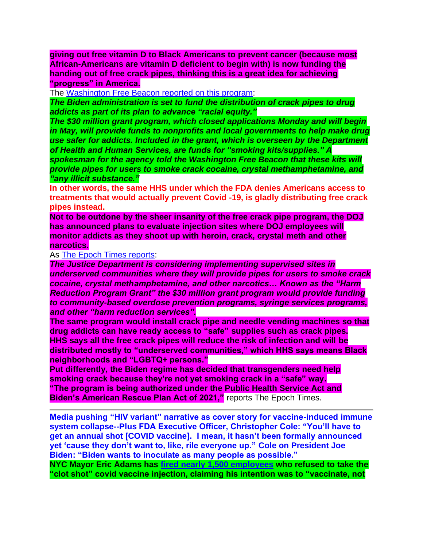**giving out free vitamin D to Black Americans to prevent cancer (because most African-Americans are vitamin D deficient to begin with) is now funding the handing out of free crack pipes, thinking this is a great idea for achieving "progress" in America.**

The [Washington Free Beacon reported on this program:](https://freebeacon.com/biden-administration/biden-admin-to-fund-crack-pipe-distribution-to-advance-racial-equity/)

*The Biden administration is set to fund the distribution of crack pipes to drug addicts as part of its plan to advance "racial equity."*

*The \$30 million grant program, which closed applications Monday and will begin in May, will provide funds to nonprofits and local governments to help make drug use safer for addicts. Included in the grant, which is overseen by the Department of Health and Human Services, are funds for "smoking kits/supplies." A* 

*spokesman for the agency told the Washington Free Beacon that these kits will provide pipes for users to smoke crack cocaine, crystal methamphetamine, and "any illicit substance."*

**In other words, the same HHS under which the FDA denies Americans access to treatments that would actually prevent Covid -19, is gladly distributing free crack pipes instead.**

**Not to be outdone by the sheer insanity of the free crack pipe program, the DOJ has announced plans to evaluate injection sites where DOJ employees will monitor addicts as they shoot up with heroin, crack, crystal meth and other narcotics.**

As [The Epoch Times reports:](https://www.theepochtimes.com/doj-evaluating-opening-safe-injections-sites-for-heroin-use-other-illicit-substances_4263466.html)

*The Justice Department is considering implementing supervised sites in underserved communities where they will provide pipes for users to smoke crack cocaine, crystal methamphetamine, and other narcotics… Known as the "Harm Reduction Program Grant" the \$30 million grant program would provide funding to community-based overdose prevention programs, syringe services programs, and other "harm reduction services".*

**The same program would install crack pipe and needle vending machines so that drug addicts can have ready access to "safe" supplies such as crack pipes. HHS says all the free crack pipes will reduce the risk of infection and will be distributed mostly to "underserved communities," which HHS says means Black neighborhoods and "LGBTQ+ persons."**

**Put differently, the Biden regime has decided that transgenders need help smoking crack because they're not yet smoking crack in a "safe" way. "The program is being authorized under the Public Health Service Act and Biden's American Rescue Plan Act of 2021,"** reports The Epoch Times.

**Media pushing "HIV variant" narrative as cover story for vaccine-induced immune system collapse--Plus FDA Executive Officer, Christopher Cole: "You'll have to get an annual shot [COVID vaccine]. I mean, it hasn't been formally announced yet 'cause they don't want to, like, rile everyone up." Cole on President Joe Biden: "Biden wants to inoculate as many people as possible."**

**NYC Mayor Eric Adams has fired [nearly 1,500 employees](https://www.theepochtimes.com/new-york-city-fires-nearly-1500-workers-for-refusing-covid-19-vaccine-mayor_4278532.html) who refused to take the "clot shot" covid vaccine injection, claiming his intention was to "vaccinate, not**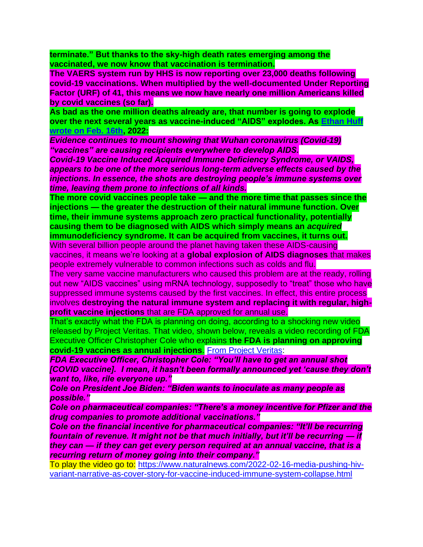**terminate." But thanks to the sky-high death rates emerging among the vaccinated, we now know that vaccination is termination.**

**The VAERS system run by HHS is now reporting over 23,000 deaths following covid-19 vaccinations. When multiplied by the well-documented Under Reporting Factor (URF) of 41, this means we now have nearly one million Americans killed by covid vaccines (so far).**

**As bad as the one million deaths already are, that number is going to explode over the next several years as vaccine-induced "AIDS" explodes. As [Ethan Huff](https://www.naturalnews.com/2022-02-16-covid-vaccines-cause-aids-proof.html)  [wrote on Feb. 16th,](https://www.naturalnews.com/2022-02-16-covid-vaccines-cause-aids-proof.html) 2022:**

*Evidence continues to mount showing that Wuhan coronavirus (Covid-19) "vaccines" are causing recipients everywhere to develop AIDS.*

*Covid-19 Vaccine Induced Acquired Immune Deficiency Syndrome, or VAIDS, appears to be one of the more serious long-term adverse effects caused by the injections. In essence, the shots are destroying people's immune systems over time, leaving them prone to infections of all kinds.*

**The more covid vaccines people take — and the more time that passes since the injections — the greater the destruction of their natural immune function. Over time, their immune systems approach zero practical functionality, potentially causing them to be diagnosed with AIDS which simply means an** *acquired* **immunodeficiency syndrome. It can be acquired from vaccines, it turns out.**

With several billion people around the planet having taken these AIDS-causing vaccines, it means we're looking at a **global explosion of AIDS diagnoses** that makes people extremely vulnerable to common infections such as colds and flu.

The very same vaccine manufacturers who caused this problem are at the ready, rolling out new "AIDS vaccines" using mRNA technology, supposedly to "treat" those who have suppressed immune systems caused by the first vaccines. In effect, this entire process involves **destroying the natural immune system and replacing it with regular, highprofit vaccine injections** that are FDA approved for annual use.

That's exactly what the FDA is planning on doing, according to a shocking new video released by Project Veritas. That video, shown below, reveals a video recording of FDA Executive Officer Christopher Cole who explains **the FDA is planning on approving covid-19 vaccines as annual injections**. [From Project Veritas:](https://www.projectveritas.com/news/fda-executive-officer-on-hidden-camera-reveals-future-covid-policy-biden/)

*FDA Executive Officer, Christopher Cole: "You'll have to get an annual shot [COVID vaccine]. I mean, it hasn't been formally announced yet 'cause they don't want to, like, rile everyone up."*

*Cole on President Joe Biden: "Biden wants to inoculate as many people as possible."*

*Cole on pharmaceutical companies: "There's a money incentive for Pfizer and the drug companies to promote additional vaccinations."*

*Cole on the financial incentive for pharmaceutical companies: "It'll be recurring fountain of revenue. It might not be that much initially, but it'll be recurring — if they can — if they can get every person required at an annual vaccine, that is a recurring return of money going into their company."*

To play the video go to: [https://www.naturalnews.com/2022-02-16-media-pushing-hiv](https://www.naturalnews.com/2022-02-16-media-pushing-hiv-variant-narrative-as-cover-story-for-vaccine-induced-immune-system-collapse.html)[variant-narrative-as-cover-story-for-vaccine-induced-immune-system-collapse.html](https://www.naturalnews.com/2022-02-16-media-pushing-hiv-variant-narrative-as-cover-story-for-vaccine-induced-immune-system-collapse.html)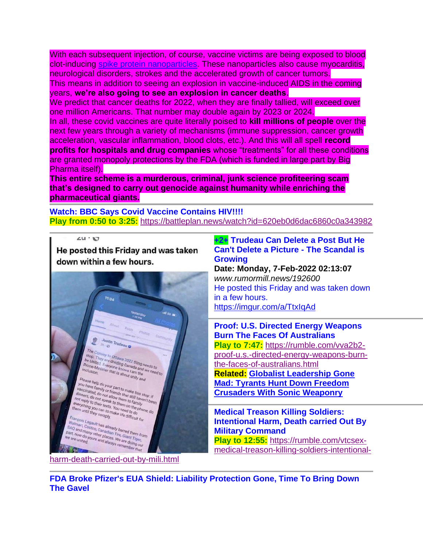With each subsequent injection, of course, vaccine victims are being exposed to blood clot-inducing [spike protein nanoparticles.](http://spikeprotein.news/) These nanoparticles also cause myocarditis, neurological disorders, strokes and the accelerated growth of cancer tumors. This means in addition to seeing an explosion in vaccine-induced AIDS in the coming years, **we're also going to see an explosion in cancer deaths**. We predict that cancer deaths for 2022, when they are finally tallied, will exceed over one million Americans. That number may double again by 2023 or 2024. In all, these covid vaccines are quite literally poised to **kill millions of people** over the next few years through a variety of mechanisms (immune suppression, cancer growth acceleration, vascular inflammation, blood clots, etc.). And this will all spell **record profits for hospitals and drug companies** whose "treatments" for all these conditions

are granted monopoly protections by the FDA (which is funded in large part by Big Pharma itself).

**This entire scheme is a murderous, criminal, junk science profiteering scam that's designed to carry out genocide against humanity while enriching the pharmaceutical giants.**

**Watch: BBC Says Covid Vaccine Contains HIV!!!! Play from 0:50 to 3:25:** <https://battleplan.news/watch?id=620eb0d6dac6860c0a343982>

 $2u \cdot w$ 

He posted this Friday and was taken down within a few hours.



[harm-death-carried-out-by-mili.html](https://rumble.com/vtcsex-medical-treason-killing-soldiers-intentional-harm-death-carried-out-by-mili.html)

**+2+ Trudeau Can Delete a Post But He Can't Delete a Picture - The Scandal is Growing**

**Date: Monday, 7-Feb-2022 02:13:07**  *www.rumormill.news/192600* He posted this Friday and was taken down in a few hours. <https://imgur.com/a/TtxIqAd>

**Proof: U.S. Directed Energy Weapons Burn The Faces Of Australians Play to 7:47:** [https://rumble.com/vva2b2](https://rumble.com/vva2b2-proof-u.s.-directed-energy-weapons-burn-the-faces-of-australians.html) [proof-u.s.-directed-energy-weapons-burn](https://rumble.com/vva2b2-proof-u.s.-directed-energy-weapons-burn-the-faces-of-australians.html)[the-faces-of-australians.html](https://rumble.com/vva2b2-proof-u.s.-directed-energy-weapons-burn-the-faces-of-australians.html) **Related: [Globalist Leadership Gone](https://rumble.com/vva1vf-globalist-leadership-gone-mad-tyrants-hunt-down-freedom-crusaders-with-soni.html)  [Mad: Tyrants Hunt Down Freedom](https://rumble.com/vva1vf-globalist-leadership-gone-mad-tyrants-hunt-down-freedom-crusaders-with-soni.html)  [Crusaders With Sonic Weaponry](https://rumble.com/vva1vf-globalist-leadership-gone-mad-tyrants-hunt-down-freedom-crusaders-with-soni.html)**

**Medical Treason Killing Soldiers: Intentional Harm, Death carried Out By Military Command Play to 12:55:** [https://rumble.com/vtcsex](https://rumble.com/vtcsex-medical-treason-killing-soldiers-intentional-harm-death-carried-out-by-mili.html)[medical-treason-killing-soldiers-intentional-](https://rumble.com/vtcsex-medical-treason-killing-soldiers-intentional-harm-death-carried-out-by-mili.html)

**FDA Broke Pfizer's EUA Shield: Liability Protection Gone, Time To Bring Down The Gavel**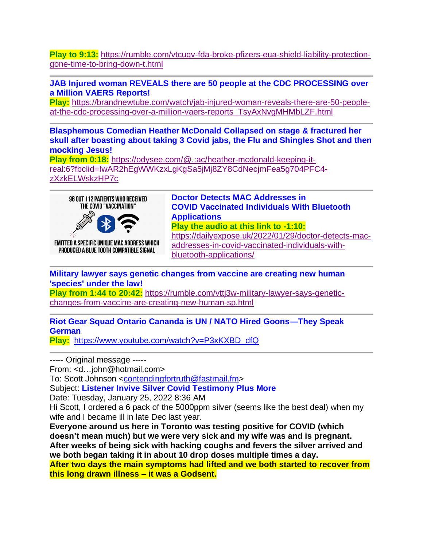**Play to 9:13:** [https://rumble.com/vtcugv-fda-broke-pfizers-eua-shield-liability-protection](https://rumble.com/vtcugv-fda-broke-pfizers-eua-shield-liability-protection-gone-time-to-bring-down-t.html)[gone-time-to-bring-down-t.html](https://rumble.com/vtcugv-fda-broke-pfizers-eua-shield-liability-protection-gone-time-to-bring-down-t.html)

**JAB Injured woman REVEALS there are 50 people at the CDC PROCESSING over a Million VAERS Reports!**

**Play:** [https://brandnewtube.com/watch/jab-injured-woman-reveals-there-are-50-people](https://brandnewtube.com/watch/jab-injured-woman-reveals-there-are-50-people-at-the-cdc-processing-over-a-million-vaers-reports_TsyAxNvgMHMbLZF.html)[at-the-cdc-processing-over-a-million-vaers-reports\\_TsyAxNvgMHMbLZF.html](https://brandnewtube.com/watch/jab-injured-woman-reveals-there-are-50-people-at-the-cdc-processing-over-a-million-vaers-reports_TsyAxNvgMHMbLZF.html)

**Blasphemous Comedian Heather McDonald Collapsed on stage & fractured her skull after boasting about taking 3 Covid jabs, the Flu and Shingles Shot and then mocking Jesus!**

**Play from 0:18:** [https://odysee.com/@.:ac/heather-mcdonald-keeping-it](https://odysee.com/@.:ac/heather-mcdonald-keeping-it-real:6?fbclid=IwAR2hEgWWKzxLgKgSa5jMj8ZY8CdNecjmFea5g704PFC4-zXzkELWskzHP7c)[real:6?fbclid=IwAR2hEgWWKzxLgKgSa5jMj8ZY8CdNecjmFea5g704PFC4](https://odysee.com/@.:ac/heather-mcdonald-keeping-it-real:6?fbclid=IwAR2hEgWWKzxLgKgSa5jMj8ZY8CdNecjmFea5g704PFC4-zXzkELWskzHP7c) [zXzkELWskzHP7c](https://odysee.com/@.:ac/heather-mcdonald-keeping-it-real:6?fbclid=IwAR2hEgWWKzxLgKgSa5jMj8ZY8CdNecjmFea5g704PFC4-zXzkELWskzHP7c)



**Doctor Detects MAC Addresses in COVID Vaccinated Individuals With Bluetooth Applications Play the audio at this link to -1:10:** [https://dailyexpose.uk/2022/01/29/doctor-detects-mac](https://dailyexpose.uk/2022/01/29/doctor-detects-mac-addresses-in-covid-vaccinated-individuals-with-bluetooth-applications/)[addresses-in-covid-vaccinated-individuals-with-](https://dailyexpose.uk/2022/01/29/doctor-detects-mac-addresses-in-covid-vaccinated-individuals-with-bluetooth-applications/)

[bluetooth-applications/](https://dailyexpose.uk/2022/01/29/doctor-detects-mac-addresses-in-covid-vaccinated-individuals-with-bluetooth-applications/)

# **Military lawyer says genetic changes from vaccine are creating new human 'species' under the law!**

**Play from 1:44 to 20:42:** [https://rumble.com/vttj3w-military-lawyer-says-genetic](https://rumble.com/vttj3w-military-lawyer-says-genetic-changes-from-vaccine-are-creating-new-human-sp.html)[changes-from-vaccine-are-creating-new-human-sp.html](https://rumble.com/vttj3w-military-lawyer-says-genetic-changes-from-vaccine-are-creating-new-human-sp.html)

# **Riot Gear Squad Ontario Cananda is UN / NATO Hired Goons—They Speak German**

**Play:** [https://www.youtube.com/watch?v=P3xKXBD\\_dfQ](https://www.youtube.com/watch?v=P3xKXBD_dfQ)

----- Original message -----

From: <d…john@hotmail.com>

To: Scott Johnson [<contendingfortruth@fastmail.fm>](mailto:contendingfortruth@fastmail.fm)

Subject: **Listener Invive Silver Covid Testimony Plus More**

Date: Tuesday, January 25, 2022 8:36 AM

Hi Scott, I ordered a 6 pack of the 5000ppm silver (seems like the best deal) when my wife and I became ill in late Dec last year.

**Everyone around us here in Toronto was testing positive for COVID (which doesn't mean much) but we were very sick and my wife was and is pregnant. After weeks of being sick with hacking coughs and fevers the silver arrived and we both began taking it in about 10 drop doses multiple times a day.**

**After two days the main symptoms had lifted and we both started to recover from this long drawn illness – it was a Godsent.**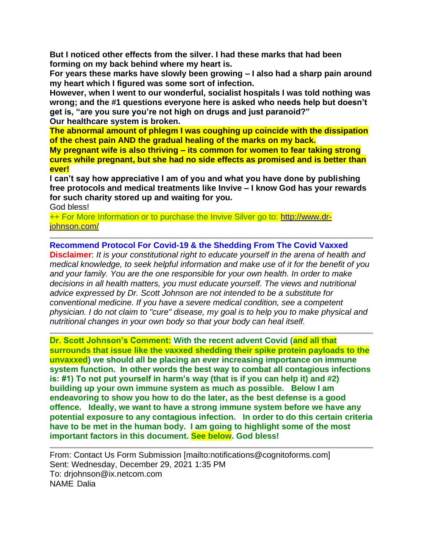**But I noticed other effects from the silver. I had these marks that had been forming on my back behind where my heart is.**

**For years these marks have slowly been growing – I also had a sharp pain around my heart which I figured was some sort of infection.**

**However, when I went to our wonderful, socialist hospitals I was told nothing was wrong; and the #1 questions everyone here is asked who needs help but doesn't get is, "are you sure you're not high on drugs and just paranoid?" Our healthcare system is broken.**

**The abnormal amount of phlegm I was coughing up coincide with the dissipation of the chest pain AND the gradual healing of the marks on my back.**

**My pregnant wife is also thriving – its common for women to fear taking strong cures while pregnant, but she had no side effects as promised and is better than ever!**

**I can't say how appreciative I am of you and what you have done by publishing free protocols and medical treatments like Invive – I know God has your rewards for such charity stored up and waiting for you.**

God bless!

++ For More Information or to purchase the Invive Silver go to: [http://www.dr](http://www.dr-johnson.com/)[johnson.com/](http://www.dr-johnson.com/)

# **Recommend Protocol For Covid-19 & the Shedding From The Covid Vaxxed**

**Disclaimer**: *It is your constitutional right to educate yourself in the arena of health and medical knowledge, to seek helpful information and make use of it for the benefit of you and your family. You are the one responsible for your own health. In order to make decisions in all health matters, you must educate yourself. The views and nutritional advice expressed by Dr. Scott Johnson are not intended to be a substitute for conventional medicine. If you have a severe medical condition, see a competent physician. I do not claim to "cure" disease, my goal is to help you to make physical and nutritional changes in your own body so that your body can heal itself.*

**Dr. Scott Johnson's Comment: With the recent advent Covid (and all that surrounds that issue like the vaxxed shedding their spike protein payloads to the unvaxxed) we should all be placing an ever increasing importance on immune system function. In other words the best way to combat all contagious infections is: #1) To not put yourself in harm's way (that is if you can help it) and #2) building up your own immune system as much as possible. Below I am endeavoring to show you how to do the later, as the best defense is a good offence. Ideally, we want to have a strong immune system before we have any potential exposure to any contagious infection. In order to do this certain criteria have to be met in the human body. I am going to highlight some of the most important factors in this document. See below. God bless!**

From: Contact Us Form Submission [mailto:notifications@cognitoforms.com] Sent: Wednesday, December 29, 2021 1:35 PM To: drjohnson@ix.netcom.com NAME Dalia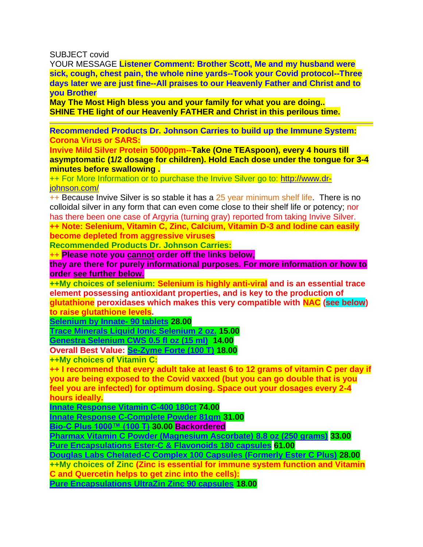SUBJECT covid

YOUR MESSAGE **Listener Comment: Brother Scott, Me and my husband were sick, cough, chest pain, the whole nine yards--Took your Covid protocol--Three days later we are just fine--All praises to our Heavenly Father and Christ and to you Brother** 

**May The Most High bless you and your family for what you are doing.. SHINE THE light of our Heavenly FATHER and Christ in this perilous time.**

**Recommended Products Dr. Johnson Carries to build up the Immune System: Corona Virus or SARS:** 

**Invive Mild Silver Protein 5000ppm--Take (One TEAspoon), every 4 hours till asymptomatic (1/2 dosage for children). Hold Each dose under the tongue for 3-4 minutes before swallowing .**

++ For More Information or to purchase the Invive Silver go to: [http://www.dr](http://www.dr-johnson.com/)[johnson.com/](http://www.dr-johnson.com/)

++ Because Invive Silver is so stable it has a 25 year minimum shelf life. There is no colloidal silver in any form that can even come close to their shelf life or potency; nor has there been one case of Argyria (turning gray) reported from taking Invive Silver. **++ Note: Selenium, Vitamin C, Zinc, Calcium, Vitamin D-3 and Iodine can easily become depleted from aggressive viruses**

**Recommended Products Dr. Johnson Carries:** 

++ **Please note you cannot order off the links below,** 

**they are there for purely informational purposes. For more information or how to order see further below.**

**++My choices of selenium: Selenium is highly anti-viral and is an essential trace element possessing antioxidant properties, and is key to the production of glutathione peroxidases which makes this very compatible with NAC (see below) to raise glutathione levels.**

**[Selenium by Innate-](https://anovahealth.com/vitamin/minerals/innate-response-selenium-90-tablet/) 90 tablets 28.00**

**[Trace Minerals Liquid Ionic Selenium](https://anovahealth.com/trace-minerals-liquid-ionic-selenium-2-oz/) 2 oz. 15.00**

**[Genestra Selenium CWS 0.5 fl oz \(15 ml\)](https://anovahealth.com/genestra-selenium-cws-0-5-fl-oz-15-ml/) 14.00**

**Overall Best Value: [Se-Zyme Forte \(100 T\)](https://www.bioticsresearch.com/node/1702) 18.00**

**++My choices of Vitamin C:**

**++ I recommend that every adult take at least 6 to 12 grams of vitamin C per day if you are being exposed to the Covid vaxxed (but you can go double that is you feel you are infected) for optimum dosing. Space out your dosages every 2-4 hours ideally.**

**[Innate Response Vitamin C-400 180ct](https://anovahealth.com/vitamin/minerals/innate-response-vitamin-c-400-180-count-tablet/) 74.00**

**[Innate Response C-Complete Powder 81gm](https://anovahealth.com/vitamin/minerals/innate-response-c-complete-powder-81-gm/) 31.00**

**[Bio-C Plus 1000™ \(100 T\)](https://www.bioticsresearch.com/node/1511) 30.00 Backordered**

**[Pharmax Vitamin C Powder \(Magnesium Ascorbate\) 8.8 oz \(250 grams\)](https://anovahealth.com/pharmax-vitamin-c-powder-magnesium-ascorbate-8-8-oz-250-grams/) 33.00 [Pure Encapsulations Ester-C & Flavonoids 180 capsules](https://anovahealth.com/pure-encapsulations-ester-c-flavonoids-180-capsules/) 61.00**

**[Douglas Labs Chelated-C Complex 100 Capsules \(Formerly Ester C Plus\)](https://anovahealth.com/douglas-labs-ester-c-complex-500-mg-100-capsules/) 28.00**

**++My choices of Zinc (Zinc is essential for immune system function and Vitamin C and Quercetin helps to get zinc into the cells):**

**[Pure Encapsulations UltraZin Zinc 90 capsules](https://anovahealth.com/pure-encapsulations-ultrazin-zinc-90-capsules/) 18.00**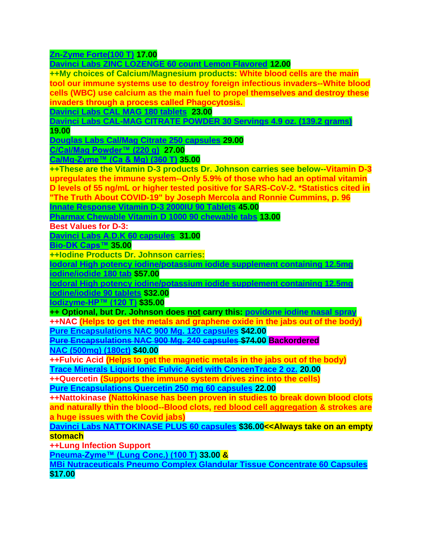# **[Zn-Zyme Forte\(100 T\)](https://shop.bioticsresearch.com/products/zn-zyme-forte) 17.00**

**[Davinci Labs ZINC LOZENGE 60 count Lemon Flavored](https://anovahealth.com/davinci-labs-zinc-lozenge-60-count-lemon-flavored/) 12.00**

**++My choices of Calcium/Magnesium products: White blood cells are the main tool our immune systems use to destroy foreign infectious invaders--White blood cells (WBC) use calcium as the main fuel to propel themselves and destroy these invaders through a process called Phagocytosis.**

**[Davinci Labs CAL MAG 180 tablets](https://anovahealth.com/davinci-labs-cal-mag-180-tablets/) 23.00**

**[Davinci Labs CAL-MAG CITRATE POWDER 30 Servings 4.9 oz. \(139.2 grams\)](https://anovahealth.com/davinci-labs-cal-mag-citrate-powder-30-servings-4-9-oz-139-2-grams/) 19.00**

**[Douglas Labs Cal/Mag Citrate 250 capsules](https://anovahealth.com/douglas-labs-cal-mag-citrate-250-capsules/) 29.00**

**[C/Cal/Mag Powder™](https://www.bioticsresearch.com/node/1669) (220 g) 27.00**

**[Ca/Mg-Zyme™ \(Ca & Mg\)](https://www.bioticsresearch.com/node/1679) (360 T) 35.00**

**++These are the Vitamin D-3 products Dr. Johnson carries see below--Vitamin D-3 upregulates the immune system--Only 5.9% of those who had an optimal vitamin D levels of 55 ng/mL or higher tested positive for SARS-CoV-2. \*Statistics cited in "The Truth About COVID-19" by Joseph Mercola and Ronnie Cummins, p. 96 [Innate Response Vitamin D-3 2000IU 90 Tablets](https://anovahealth.com/vitamin/minerals/innate-response-vitamin-d-3-2000iu-90-tablets/) 45.00**

**[Pharmax Chewable Vitamin](https://anovahealth.com/pharmax-chewable-vitamin-d-1000-90-chewable-tabs/) D 1000 90 chewable tabs 13.00**

**Best Values for D-3:**

**[Davinci Labs A.D.K 60 capsules](https://anovahealth.com/davinci-labs-a-d-k-60-capsules/) 31.00**

**[Bio-DK Caps™](https://www.bioticsresearch.com/products/bio-dk-caps%E2%84%A2) 35.00**

**++Iodine Products Dr. Johnson carries:**

**[Iodoral High potency iodine/potassium iodide supplement containing 12.5mg](https://anovahealth.com/vitamin/minerals/iodoral-high-potency-iodine-potassium-iodide-supplement-containing-12-5mg-iodine-iodide-180-tab/)  [iodine/iodide 180 tab](https://anovahealth.com/vitamin/minerals/iodoral-high-potency-iodine-potassium-iodide-supplement-containing-12-5mg-iodine-iodide-180-tab/) \$57.00**

**[Iodoral High potency iodine/potassium iodide supplement containing 12.5mg](https://anovahealth.com/iodoral-high-potency-iodine-potassium-iodide-supplement-containing-12-5mg-iodine-iodide-90-tablets/) [iodine/iodide 90 tablets](https://anovahealth.com/iodoral-high-potency-iodine-potassium-iodide-supplement-containing-12-5mg-iodine-iodide-90-tablets/) \$32.00**

**[Iodizyme-HP™ \(120 T\)](http://www.bioticsresearch.com/node/2773) \$35.00**

**++ Optional, but Dr. Johnson does not carry this: [povidone iodine nasal spray](https://viraldine.com/)** **++NAC (Helps to get the metals and graphene oxide in the jabs out of the body) [Pure Encapsulations NAC 900 Mg. 120 capsules](https://anovahealth.com/pure-encapsulations-nac-900-mg-120-capsules/) \$42.00**

**[Pure Encapsulations NAC 900 Mg. 240 capsules](https://anovahealth.com/pure-encapsulations-nac-900-mg-240-capsules/) \$74.00 Backordered [NAC \(500mg\) \(180ct\)](https://shop.bioticsresearch.com/products/nac) \$40.00**

**++Fulvic Acid (Helps to get the magnetic metals in the jabs out of the body) [Trace Minerals Liquid Ionic Fulvic Acid with ConcenTrace 2 oz.](https://anovahealth.com/miscellaneous/trace-minerals-liquid-ionic-fulvic-acid-with-concentracea-2-oz/) 20.00** 

**++Quercetin (Supports the immune system drives zinc into the cells) Pure Encapsulations Quercetin 250 mg 60 capsules 22.00**

**++Nattokinase (Nattokinase has been proven in studies to break down blood clots and naturally thin the blood--Blood clots, red blood cell aggregation & strokes are a huge issues with the Covid jabs)**

**[Davinci Labs NATTOKINASE PLUS 60 capsules](https://anovahealth.com/vitamin/minerals/davinci-labs-nattokinase-plusa-60-capsules/) \$36.00<<Always take on an empty stomach**

**++Lung Infection Support**

**[Pneuma-Zyme™ \(Lung Conc.\) \(100 T\)](http://www.bioticsresearch.com/node/1657) 33.00 &**

**MBi [Nutraceuticals Pneumo Complex Glandular Tissue Concentrate 60 Capsules](https://anovahealth.com/mbi-nutraceuticals-pneumo-complex-glandular-tissue-concentrate-60-capsules/) \$17.00**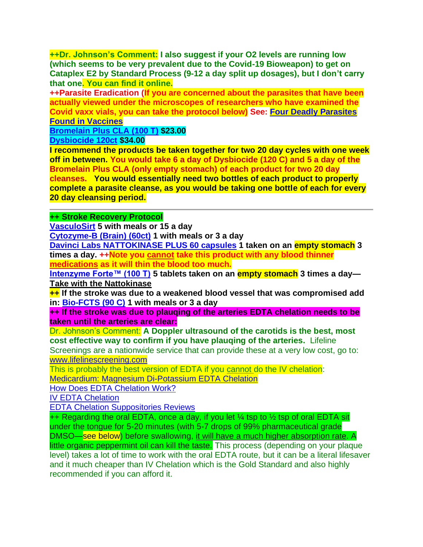**++Dr. Johnson's Comment: I also suggest if your O2 levels are running low (which seems to be very prevalent due to the Covid-19 Bioweapon) to get on Cataplex E2 by Standard Process (9-12 a day split up dosages), but I don't carry that one. You can find it online.**

**++Parasite Eradication (If you are concerned about the parasites that have been actually viewed under the microscopes of researchers who have examined the Covid vaxx vials, you can take the protocol below) See: [Four Deadly Parasites](https://elcolectivodeuno.wordpress.com/2021/10/25/four-deadly-parasites-found-in-vaccines/)  [Found in Vaccines](https://elcolectivodeuno.wordpress.com/2021/10/25/four-deadly-parasites-found-in-vaccines/)**

**[Bromelain Plus CLA \(100 T\)](https://shop.bioticsresearch.com/products/bromelain-plus-cla) \$23.00**

**[Dysbiocide 120ct](https://shop.bioticsresearch.com/products/dysbiocide) \$34.00**

**I recommend the products be taken together for two 20 day cycles with one week off in between. You would take 6 a day of Dysbiocide (120 C) and 5 a day of the Bromelain Plus CLA (only empty stomach) of each product for two 20 day cleanses. You would essentially need two bottles of each product to properly complete a parasite cleanse, as you would be taking one bottle of each for every 20 day cleansing period.** 

**++ Stroke Recovery Protocol**

**[VasculoSirt](https://shop.bioticsresearch.com/products/vasculosirt) 5 with meals or 15 a day**

**[Cytozyme-B \(Brain\) \(60ct\)](http://www.bioticsresearch.com/node/1540) 1 with meals or 3 a day**

**[Davinci Labs NATTOKINASE](https://anovahealth.com/vitamin/minerals/davinci-labs-nattokinase-plusa-60-capsules/) PLUS 60 capsules 1 taken on an empty stomach 3 times a day. ++Note you cannot take this product with any blood thinner medications as it will thin the blood too much.**

**[Intenzyme Forte™ \(100 T\)](https://www.bioticsresearch.com/node/1628) 5 tablets taken on an empty stomach 3 times a day— Take with the Nattokinase**

**++ If the stroke was due to a weakened blood vessel that was compromised add in: [Bio-FCTS \(90 C\)](http://www.bioticsresearch.com/node/2155) 1 with meals or 3 a day**

**++ If the stroke was due to plauqing of the arteries EDTA chelation needs to be taken until the arteries are clear:**

Dr. Johnson's Comment: **A Doppler ultrasound of the carotids is the best, most cost effective way to confirm if you have plauqing of the arteries.** Lifeline

Screenings are a nationwide service that can provide these at a very low cost, go to: [www.lifelinescreening.com](http://www.lifelinescreening.com/)

This is probably the best version of EDTA if you cannot do the IV chelation:

[Medicardium: Magnesium Di-Potassium EDTA Chelation](https://www.peak-health-now.com/medicardium-best-EDTA.html)

[How Does EDTA Chelation Work?](https://www.peak-health-now.com/edta_chelation.html)

[IV EDTA Chelation](https://www.peak-health-now.com/iv_chelation.html)

[EDTA Chelation Suppositories Reviews](https://www.peak-health-now.com/EDTA-chelation-suppositories-reviews.html)

 $++$  Regarding the oral EDTA, once a day, if you let  $\frac{1}{4}$  tsp to  $\frac{1}{2}$  tsp of oral EDTA sit under the tongue for 5-20 minutes (with 5-7 drops of 99% pharmaceutical grade

DMSO—see below) before swallowing, it will have a much higher absorption rate. A

little organic peppermint oil can kill the taste. This process (depending on your plaque level) takes a lot of time to work with the oral EDTA route, but it can be a literal lifesaver and it much cheaper than IV Chelation which is the Gold Standard and also highly recommended if you can afford it.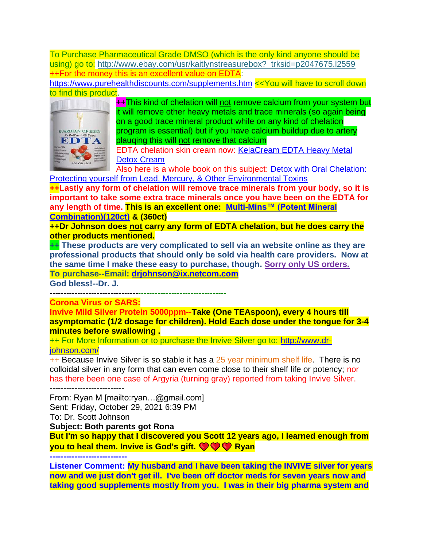To Purchase Pharmaceutical Grade DMSO (which is the only kind anyone should be using) go to: http://www.ebay.com/usr/kaitlynstreasurebox? trksid=p2047675.l2559 ++For the money this is an excellent value on EDTA:

<https://www.purehealthdiscounts.com/supplements.htm> <<You will have to scroll down to find this product.



++This kind of chelation will not remove calcium from your system but it will remove other heavy metals and trace minerals (so again being on a good trace mineral product while on any kind of chelation program is essential) but if you have calcium buildup due to artery plauqing this will not remove that calcium

EDTA chelation skin cream now: [KelaCream EDTA Heavy Metal](https://www.amazon.com/KelaCream-Heavy-Metal-Detox-Cream/dp/B072W6Y26M/ref=sr_1_2?crid=9PQE4OQRVGMI&keywords=chelation+cream&qid=1550781207&s=gateway&sprefix=chelation+cream%2Caps%2C162&sr=8-2)  [Detox Cream](https://www.amazon.com/KelaCream-Heavy-Metal-Detox-Cream/dp/B072W6Y26M/ref=sr_1_2?crid=9PQE4OQRVGMI&keywords=chelation+cream&qid=1550781207&s=gateway&sprefix=chelation+cream%2Caps%2C162&sr=8-2)

Also here is a whole book on this subject: [Detox with Oral Chelation:](https://www.amazon.com/Detox-Oral-Chelation-Protecting-Environmental-ebook/dp/B0044KLQKA/ref=sr_1_7?crid=9PQE4OQRVGMI&keywords=chelation+cream&qid=1550781404&s=gateway&sprefix=chelation+cream%2Caps%2C162&sr=8-7)  [Protecting yourself from Lead, Mercury, & Other Environmental Toxins](https://www.amazon.com/Detox-Oral-Chelation-Protecting-Environmental-ebook/dp/B0044KLQKA/ref=sr_1_7?crid=9PQE4OQRVGMI&keywords=chelation+cream&qid=1550781404&s=gateway&sprefix=chelation+cream%2Caps%2C162&sr=8-7)

**++Lastly any form of chelation will remove trace minerals from your body, so it is important to take some extra trace minerals once you have been on the EDTA for any length of time. This is an excellent one: [Multi-Mins™ \(Potent Mineral](http://www.bioticsresearch.com/node/1684)  [Combination\)\(120ct\)](http://www.bioticsresearch.com/node/1684) & (360ct)**

**++Dr Johnson does not carry any form of EDTA chelation, but he does carry the other products mentioned.** 

**++ These products are very complicated to sell via an website online as they are professional products that should only be sold via health care providers. Now at the same time I make these easy to purchase, though. Sorry only US orders. To purchase--Email: [drjohnson@ix.netcom.com](mailto:drjohnson@ix.netcom.com)**

**God bless!--Dr. J.** 

----------------------------------------------------------------

**Corona Virus or SARS:** 

**Invive Mild Silver Protein 5000ppm--Take (One TEAspoon), every 4 hours till asymptomatic (1/2 dosage for children). Hold Each dose under the tongue for 3-4 minutes before swallowing .**

++ For More Information or to purchase the Invive Silver go to: [http://www.dr](http://www.dr-johnson.com/)[johnson.com/](http://www.dr-johnson.com/)

++ Because Invive Silver is so stable it has a 25 year minimum shelf life. There is no colloidal silver in any form that can even come close to their shelf life or potency; nor has there been one case of Argyria (turning gray) reported from taking Invive Silver.

---------------------------

From: Ryan M [mailto:ryan…@gmail.com] Sent: Friday, October 29, 2021 6:39 PM To: Dr. Scott Johnson

**Subject: Both parents got Rona**

**But I'm so happy that I discovered you Scott 12 years ago, I learned enough from you to heal them. Invive is God's gift. CO CO Ryan** 

**----------------------------**

**Listener Comment: My husband and I have been taking the INVIVE silver for years now and we just don't get ill. I've been off doctor meds for seven years now and taking good supplements mostly from you. I was in their big pharma system and**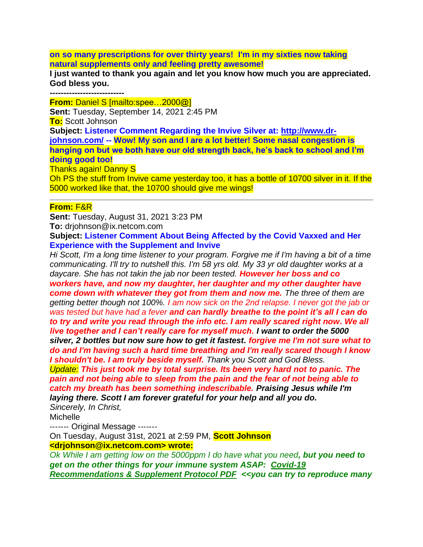**on so many prescriptions for over thirty years! I'm in my sixties now taking natural supplements only and feeling pretty awesome!**

**I just wanted to thank you again and let you know how much you are appreciated. God bless you.**

**---------------------------**

**From:** Daniel S [mailto:spee…2000@]

**Sent:** Tuesday, September 14, 2021 2:45 PM

**To:** Scott Johnson

**Subject: Listener Comment Regarding the Invive Silver at: [http://www.dr](http://www.dr-johnson.com/)[johnson.com/](http://www.dr-johnson.com/) -- Wow! My son and I are a lot better! Some nasal congestion is hanging on but we both have our old strength back, he's back to school and I'm doing good too!**

Thanks again! Danny S

Oh PS the stuff from Invive came yesterday too, it has a bottle of 10700 silver in it. If the 5000 worked like that, the 10700 should give me wings!

### **From:** F&R

**Sent:** Tuesday, August 31, 2021 3:23 PM **To:** drjohnson@ix.netcom.com

**Subject: Listener Comment About Being Affected by the Covid Vaxxed and Her Experience with the Supplement and Invive**

*Hi Scott, I'm a long time listener to your program. Forgive me if I'm having a bit of a time communicating. I'll try to nutshell this. I'm 58 yrs old. My 33 yr old daughter works at a daycare. She has not takin the jab nor been tested. However her boss and co workers have, and now my daughter, her daughter and my other daughter have come down with whatever they got from them and now me. The three of them are getting better though not 100%. I am now sick on the 2nd relapse. I never got the jab or was tested but have had a fever and can hardly breathe to the point it's all I can do to try and write you read through the info etc. I am really scared right now. We all live together and I can't really care for myself much. I want to order the 5000 silver, 2 bottles but now sure how to get it fastest. forgive me I'm not sure what to do and I'm having such a hard time breathing and I'm really scared though I know I shouldn't be. I am truly beside myself. Thank you Scott and God Bless. Update: This just took me by total surprise. Its been very hard not to panic. The* 

*pain and not being able to sleep from the pain and the fear of not being able to catch my breath has been something indescribable. Praising Jesus while I'm laying there. Scott I am forever grateful for your help and all you do.* 

*Sincerely, In Christ,* **Michelle** 

------ Original Message -------

On Tuesday, August 31st, 2021 at 2:59 PM, **Scott Johnson** 

### **<drjohnson@ix.netcom.com> wrote:**

*Ok While I am getting low on the 5000ppm I do have what you need, but you need to get on the other things for your immune system ASAP: [Covid-19](https://www.contendingfortruth.com/covid-19-recommendations-supplement-protocol-pdf/)  [Recommendations & Supplement Protocol PDF](https://www.contendingfortruth.com/covid-19-recommendations-supplement-protocol-pdf/) <<you can try to reproduce many*